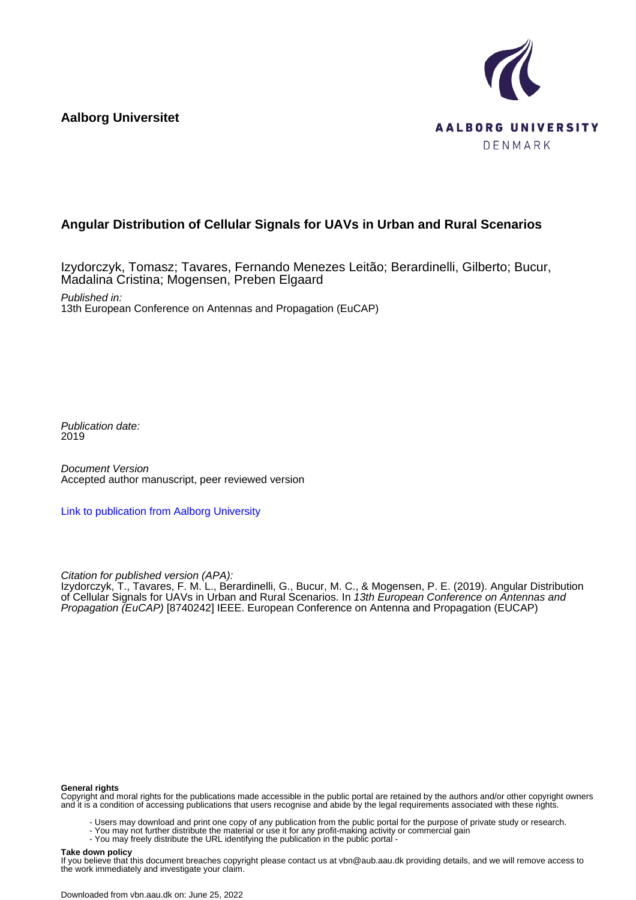**Aalborg Universitet**



# **Angular Distribution of Cellular Signals for UAVs in Urban and Rural Scenarios**

Izydorczyk, Tomasz; Tavares, Fernando Menezes Leitão; Berardinelli, Gilberto; Bucur, Madalina Cristina; Mogensen, Preben Elgaard

Published in: 13th European Conference on Antennas and Propagation (EuCAP)

Publication date: 2019

Document Version Accepted author manuscript, peer reviewed version

[Link to publication from Aalborg University](https://vbn.aau.dk/en/publications/680aa7d8-736c-43b1-82d4-cd9f2b50f5c1)

Citation for published version (APA):

Izydorczyk, T., Tavares, F. M. L., Berardinelli, G., Bucur, M. C., & Mogensen, P. E. (2019). Angular Distribution of Cellular Signals for UAVs in Urban and Rural Scenarios. In *13th European Conference on Antennas and* Propagation (EuCAP) [8740242] IEEE. European Conference on Antenna and Propagation (EUCAP)

#### **General rights**

Copyright and moral rights for the publications made accessible in the public portal are retained by the authors and/or other copyright owners and it is a condition of accessing publications that users recognise and abide by the legal requirements associated with these rights.

- Users may download and print one copy of any publication from the public portal for the purpose of private study or research.
- You may not further distribute the material or use it for any profit-making activity or commercial gain
	- You may freely distribute the URL identifying the publication in the public portal -

#### **Take down policy**

If you believe that this document breaches copyright please contact us at vbn@aub.aau.dk providing details, and we will remove access to the work immediately and investigate your claim.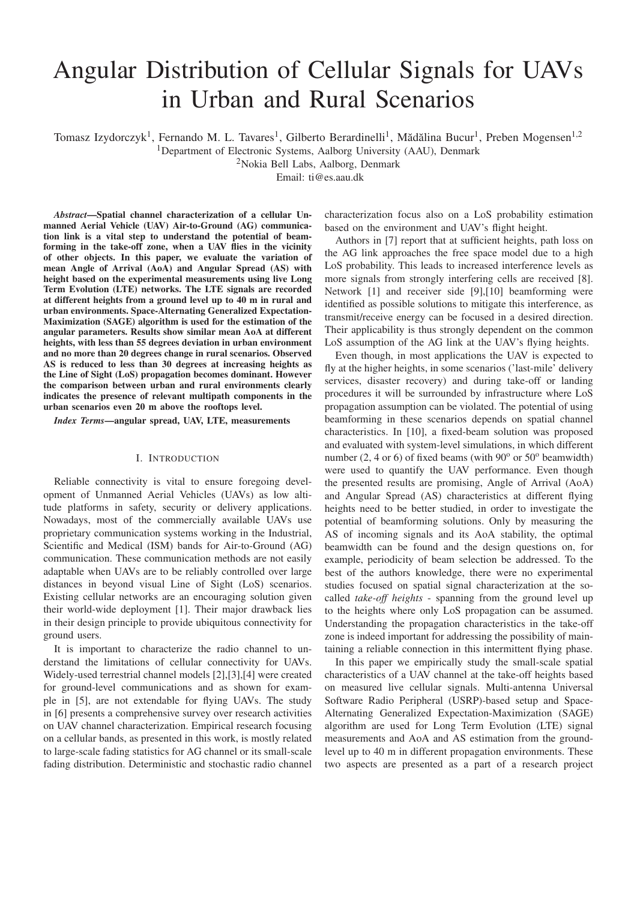# Angular Distribution of Cellular Signals for UAVs in Urban and Rural Scenarios

Tomasz Izydorczyk<sup>1</sup>, Fernando M. L. Tavares<sup>1</sup>, Gilberto Berardinelli<sup>1</sup>, Mădălina Bucur<sup>1</sup>, Preben Mogensen<sup>1,2</sup>

<sup>1</sup>Department of Electronic Systems, Aalborg University (AAU), Denmark

2Nokia Bell Labs, Aalborg, Denmark

Email: ti@es.aau.dk

*Abstract*—Spatial channel characterization of a cellular Unmanned Aerial Vehicle (UAV) Air-to-Ground (AG) communication link is a vital step to understand the potential of beamforming in the take-off zone, when a UAV flies in the vicinity of other objects. In this paper, we evaluate the variation of mean Angle of Arrival (AoA) and Angular Spread (AS) with height based on the experimental measurements using live Long Term Evolution (LTE) networks. The LTE signals are recorded at different heights from a ground level up to 40 m in rural and urban environments. Space-Alternating Generalized Expectation-Maximization (SAGE) algorithm is used for the estimation of the angular parameters. Results show similar mean AoA at different heights, with less than 55 degrees deviation in urban environment and no more than 20 degrees change in rural scenarios. Observed AS is reduced to less than 30 degrees at increasing heights as the Line of Sight (LoS) propagation becomes dominant. However the comparison between urban and rural environments clearly indicates the presence of relevant multipath components in the urban scenarios even 20 m above the rooftops level.

*Index Terms*—angular spread, UAV, LTE, measurements

#### I. INTRODUCTION

Reliable connectivity is vital to ensure foregoing development of Unmanned Aerial Vehicles (UAVs) as low altitude platforms in safety, security or delivery applications. Nowadays, most of the commercially available UAVs use proprietary communication systems working in the Industrial, Scientific and Medical (ISM) bands for Air-to-Ground (AG) communication. These communication methods are not easily adaptable when UAVs are to be reliably controlled over large distances in beyond visual Line of Sight (LoS) scenarios. Existing cellular networks are an encouraging solution given their world-wide deployment [1]. Their major drawback lies in their design principle to provide ubiquitous connectivity for ground users.

It is important to characterize the radio channel to understand the limitations of cellular connectivity for UAVs. Widely-used terrestrial channel models [2],[3],[4] were created for ground-level communications and as shown for example in [5], are not extendable for flying UAVs. The study in [6] presents a comprehensive survey over research activities on UAV channel characterization. Empirical research focusing on a cellular bands, as presented in this work, is mostly related to large-scale fading statistics for AG channel or its small-scale fading distribution. Deterministic and stochastic radio channel

characterization focus also on a LoS probability estimation based on the environment and UAV's flight height.

Authors in [7] report that at sufficient heights, path loss on the AG link approaches the free space model due to a high LoS probability. This leads to increased interference levels as more signals from strongly interfering cells are received [8]. Network [1] and receiver side [9],[10] beamforming were identified as possible solutions to mitigate this interference, as transmit/receive energy can be focused in a desired direction. Their applicability is thus strongly dependent on the common LoS assumption of the AG link at the UAV's flying heights.

Even though, in most applications the UAV is expected to fly at the higher heights, in some scenarios ('last-mile' delivery services, disaster recovery) and during take-off or landing procedures it will be surrounded by infrastructure where LoS propagation assumption can be violated. The potential of using beamforming in these scenarios depends on spatial channel characteristics. In [10], a fixed-beam solution was proposed and evaluated with system-level simulations, in which different number  $(2, 4 \text{ or } 6)$  of fixed beams (with  $90^\circ$  or  $50^\circ$  beamwidth) were used to quantify the UAV performance. Even though the presented results are promising, Angle of Arrival (AoA) and Angular Spread (AS) characteristics at different flying heights need to be better studied, in order to investigate the potential of beamforming solutions. Only by measuring the AS of incoming signals and its AoA stability, the optimal beamwidth can be found and the design questions on, for example, periodicity of beam selection be addressed. To the best of the authors knowledge, there were no experimental studies focused on spatial signal characterization at the socalled *take-off heights* - spanning from the ground level up to the heights where only LoS propagation can be assumed. Understanding the propagation characteristics in the take-off zone is indeed important for addressing the possibility of maintaining a reliable connection in this intermittent flying phase.

In this paper we empirically study the small-scale spatial characteristics of a UAV channel at the take-off heights based on measured live cellular signals. Multi-antenna Universal Software Radio Peripheral (USRP)-based setup and Space-Alternating Generalized Expectation-Maximization (SAGE) algorithm are used for Long Term Evolution (LTE) signal measurements and AoA and AS estimation from the groundlevel up to 40 m in different propagation environments. These two aspects are presented as a part of a research project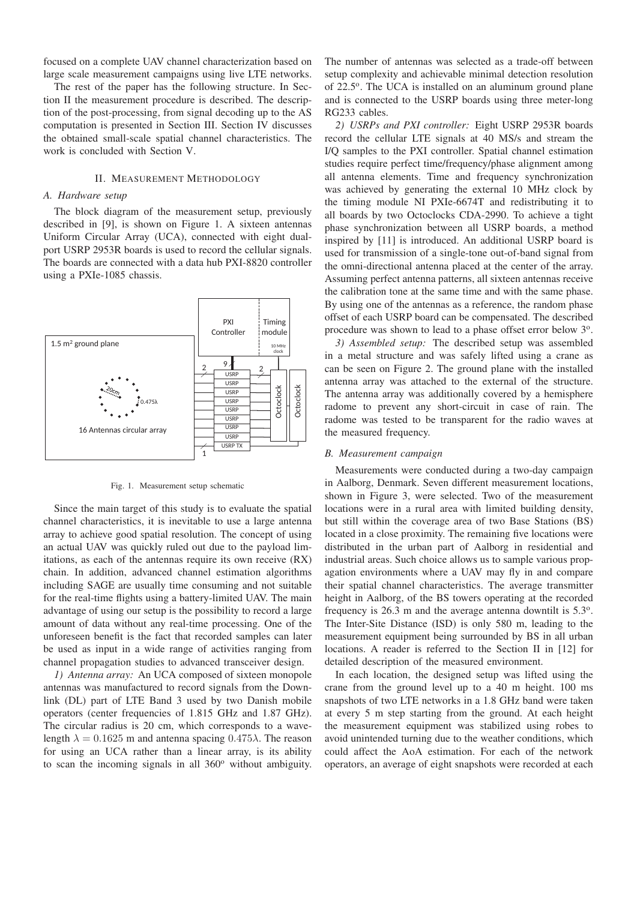focused on a complete UAV channel characterization based on large scale measurement campaigns using live LTE networks.

The rest of the paper has the following structure. In Section II the measurement procedure is described. The description of the post-processing, from signal decoding up to the AS computation is presented in Section III. Section IV discusses the obtained small-scale spatial channel characteristics. The work is concluded with Section V.

#### II. MEASUREMENT METHODOLOGY

## *A. Hardware setup*

The block diagram of the measurement setup, previously described in [9], is shown on Figure 1. A sixteen antennas Uniform Circular Array (UCA), connected with eight dualport USRP 2953R boards is used to record the cellular signals. The boards are connected with a data hub PXI-8820 controller using a PXIe-1085 chassis.



Fig. 1. Measurement setup schematic

Since the main target of this study is to evaluate the spatial channel characteristics, it is inevitable to use a large antenna array to achieve good spatial resolution. The concept of using an actual UAV was quickly ruled out due to the payload limitations, as each of the antennas require its own receive (RX) chain. In addition, advanced channel estimation algorithms including SAGE are usually time consuming and not suitable for the real-time flights using a battery-limited UAV. The main advantage of using our setup is the possibility to record a large amount of data without any real-time processing. One of the unforeseen benefit is the fact that recorded samples can later be used as input in a wide range of activities ranging from channel propagation studies to advanced transceiver design.

*1) Antenna array:* An UCA composed of sixteen monopole antennas was manufactured to record signals from the Downlink (DL) part of LTE Band 3 used by two Danish mobile operators (center frequencies of 1.815 GHz and 1.87 GHz). The circular radius is 20 cm, which corresponds to a wavelength  $\lambda = 0.1625$  m and antenna spacing  $0.475\lambda$ . The reason for using an UCA rather than a linear array, is its ability to scan the incoming signals in all  $360^\circ$  without ambiguity.

The number of antennas was selected as a trade-off between setup complexity and achievable minimal detection resolution of 22.5°. The UCA is installed on an aluminum ground plane and is connected to the USRP boards using three meter-long RG233 cables.

*2) USRPs and PXI controller:* Eight USRP 2953R boards record the cellular LTE signals at 40 MS/s and stream the I/Q samples to the PXI controller. Spatial channel estimation studies require perfect time/frequency/phase alignment among all antenna elements. Time and frequency synchronization was achieved by generating the external 10 MHz clock by the timing module NI PXIe-6674T and redistributing it to all boards by two Octoclocks CDA-2990. To achieve a tight phase synchronization between all USRP boards, a method inspired by [11] is introduced. An additional USRP board is used for transmission of a single-tone out-of-band signal from the omni-directional antenna placed at the center of the array. Assuming perfect antenna patterns, all sixteen antennas receive the calibration tone at the same time and with the same phase. By using one of the antennas as a reference, the random phase offset of each USRP board can be compensated. The described procedure was shown to lead to a phase offset error below  $3^{\circ}$ .

*3) Assembled setup:* The described setup was assembled in a metal structure and was safely lifted using a crane as can be seen on Figure 2. The ground plane with the installed antenna array was attached to the external of the structure. The antenna array was additionally covered by a hemisphere radome to prevent any short-circuit in case of rain. The radome was tested to be transparent for the radio waves at the measured frequency.

### *B. Measurement campaign*

Measurements were conducted during a two-day campaign in Aalborg, Denmark. Seven different measurement locations, shown in Figure 3, were selected. Two of the measurement locations were in a rural area with limited building density, but still within the coverage area of two Base Stations (BS) located in a close proximity. The remaining five locations were distributed in the urban part of Aalborg in residential and industrial areas. Such choice allows us to sample various propagation environments where a UAV may fly in and compare their spatial channel characteristics. The average transmitter height in Aalborg, of the BS towers operating at the recorded frequency is  $26.3$  m and the average antenna downtilt is  $5.3^\circ$ . The Inter-Site Distance (ISD) is only 580 m, leading to the measurement equipment being surrounded by BS in all urban locations. A reader is referred to the Section II in [12] for detailed description of the measured environment.

In each location, the designed setup was lifted using the crane from the ground level up to a 40 m height. 100 ms snapshots of two LTE networks in a 1.8 GHz band were taken at every 5 m step starting from the ground. At each height the measurement equipment was stabilized using robes to avoid unintended turning due to the weather conditions, which could affect the AoA estimation. For each of the network operators, an average of eight snapshots were recorded at each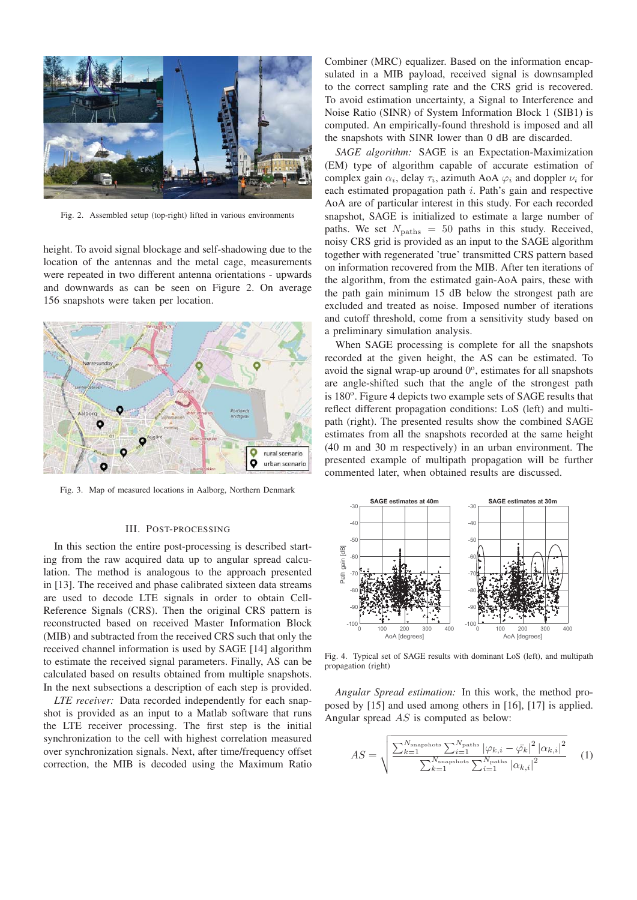

Fig. 2. Assembled setup (top-right) lifted in various environments

height. To avoid signal blockage and self-shadowing due to the location of the antennas and the metal cage, measurements were repeated in two different antenna orientations - upwards and downwards as can be seen on Figure 2. On average 156 snapshots were taken per location.



Fig. 3. Map of measured locations in Aalborg, Northern Denmark

#### III. POST-PROCESSING

In this section the entire post-processing is described starting from the raw acquired data up to angular spread calculation. The method is analogous to the approach presented in [13]. The received and phase calibrated sixteen data streams are used to decode LTE signals in order to obtain Cell-Reference Signals (CRS). Then the original CRS pattern is reconstructed based on received Master Information Block (MIB) and subtracted from the received CRS such that only the received channel information is used by SAGE [14] algorithm to estimate the received signal parameters. Finally, AS can be calculated based on results obtained from multiple snapshots. In the next subsections a description of each step is provided.

*LTE receiver:* Data recorded independently for each snapshot is provided as an input to a Matlab software that runs the LTE receiver processing. The first step is the initial synchronization to the cell with highest correlation measured over synchronization signals. Next, after time/frequency offset correction, the MIB is decoded using the Maximum Ratio

Combiner (MRC) equalizer. Based on the information encapsulated in a MIB payload, received signal is downsampled to the correct sampling rate and the CRS grid is recovered. To avoid estimation uncertainty, a Signal to Interference and Noise Ratio (SINR) of System Information Block 1 (SIB1) is computed. An empirically-found threshold is imposed and all the snapshots with SINR lower than 0 dB are discarded.

*SAGE algorithm:* SAGE is an Expectation-Maximization (EM) type of algorithm capable of accurate estimation of complex gain  $\alpha_i$ , delay  $\tau_i$ , azimuth AoA  $\varphi_i$  and doppler  $\nu_i$  for each estimated propagation path i. Path's gain and respective AoA are of particular interest in this study. For each recorded snapshot, SAGE is initialized to estimate a large number of paths. We set  $N_{\text{paths}} = 50$  paths in this study. Received, noisy CRS grid is provided as an input to the SAGE algorithm together with regenerated 'true' transmitted CRS pattern based on information recovered from the MIB. After ten iterations of the algorithm, from the estimated gain-AoA pairs, these with the path gain minimum 15 dB below the strongest path are excluded and treated as noise. Imposed number of iterations and cutoff threshold, come from a sensitivity study based on a preliminary simulation analysis.

When SAGE processing is complete for all the snapshots recorded at the given height, the AS can be estimated. To avoid the signal wrap-up around  $0^\circ$ , estimates for all snapshots are angle-shifted such that the angle of the strongest path is 180<sup>o</sup>. Figure 4 depicts two example sets of SAGE results that reflect different propagation conditions: LoS (left) and multipath (right). The presented results show the combined SAGE estimates from all the snapshots recorded at the same height (40 m and 30 m respectively) in an urban environment. The presented example of multipath propagation will be further commented later, when obtained results are discussed.



Fig. 4. Typical set of SAGE results with dominant LoS (left), and multipath propagation (right)

*Angular Spread estimation:* In this work, the method proposed by [15] and used among others in [16], [17] is applied. Angular spread AS is computed as below:

$$
AS = \sqrt{\frac{\sum_{k=1}^{N_{\text{snapshots}}} \sum_{i=1}^{N_{\text{paths}}} |\varphi_{k,i} - \bar{\varphi_k}|^2 |\alpha_{k,i}|^2}{\sum_{k=1}^{N_{\text{snapshots}}} \sum_{i=1}^{N_{\text{paths}}} |\alpha_{k,i}|^2}}
$$
(1)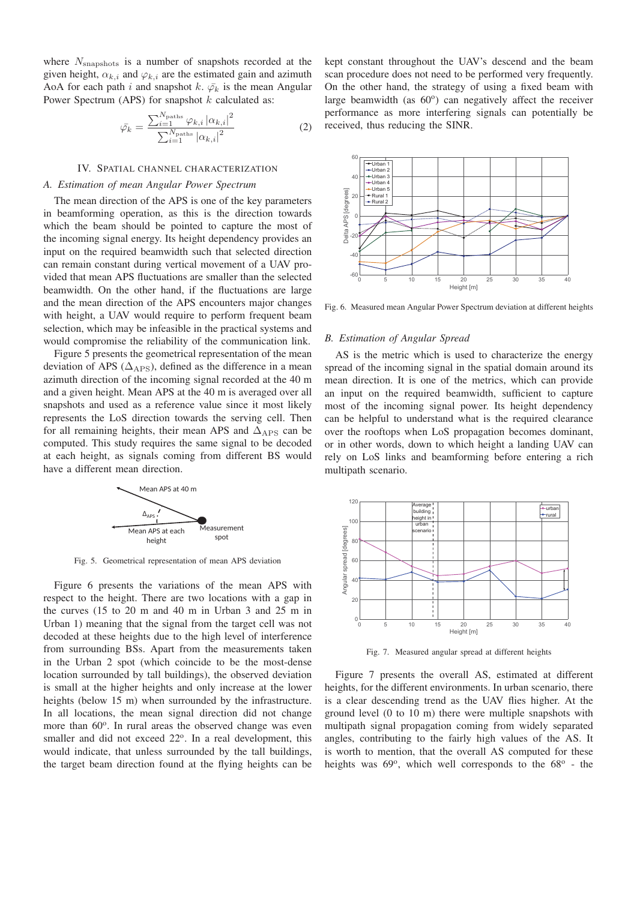where  $N_{\text{snapshots}}$  is a number of snapshots recorded at the given height,  $\alpha_{k,i}$  and  $\varphi_{k,i}$  are the estimated gain and azimuth AoA for each path i and snapshot k.  $\bar{\varphi_k}$  is the mean Angular Power Spectrum (APS) for snapshot  $k$  calculated as:

$$
\bar{\varphi_k} = \frac{\sum_{i=1}^{N_{\text{paths}}} \varphi_{k,i} \left| \alpha_{k,i} \right|^2}{\sum_{i=1}^{N_{\text{paths}}} \left| \alpha_{k,i} \right|^2} \tag{2}
$$

#### IV. SPATIAL CHANNEL CHARACTERIZATION

# *A. Estimation of mean Angular Power Spectrum*

The mean direction of the APS is one of the key parameters in beamforming operation, as this is the direction towards which the beam should be pointed to capture the most of the incoming signal energy. Its height dependency provides an input on the required beamwidth such that selected direction can remain constant during vertical movement of a UAV provided that mean APS fluctuations are smaller than the selected beamwidth. On the other hand, if the fluctuations are large and the mean direction of the APS encounters major changes with height, a UAV would require to perform frequent beam selection, which may be infeasible in the practical systems and would compromise the reliability of the communication link.

Figure 5 presents the geometrical representation of the mean deviation of APS ( $\Delta_{\rm APS}$ ), defined as the difference in a mean azimuth direction of the incoming signal recorded at the 40 m and a given height. Mean APS at the 40 m is averaged over all snapshots and used as a reference value since it most likely represents the LoS direction towards the serving cell. Then for all remaining heights, their mean APS and  $\Delta_{\rm APS}$  can be computed. This study requires the same signal to be decoded at each height, as signals coming from different BS would have a different mean direction.



Fig. 5. Geometrical representation of mean APS deviation

Figure 6 presents the variations of the mean APS with respect to the height. There are two locations with a gap in the curves (15 to 20 m and 40 m in Urban 3 and 25 m in Urban 1) meaning that the signal from the target cell was not decoded at these heights due to the high level of interference from surrounding BSs. Apart from the measurements taken in the Urban 2 spot (which coincide to be the most-dense location surrounded by tall buildings), the observed deviation is small at the higher heights and only increase at the lower heights (below 15 m) when surrounded by the infrastructure. In all locations, the mean signal direction did not change more than  $60^\circ$ . In rural areas the observed change was even smaller and did not exceed  $22^\circ$ . In a real development, this would indicate, that unless surrounded by the tall buildings, the target beam direction found at the flying heights can be kept constant throughout the UAV's descend and the beam scan procedure does not need to be performed very frequently. On the other hand, the strategy of using a fixed beam with large beamwidth (as  $60^{\circ}$ ) can negatively affect the receiver performance as more interfering signals can potentially be received, thus reducing the SINR.



Fig. 6. Measured mean Angular Power Spectrum deviation at different heights

#### *B. Estimation of Angular Spread*

AS is the metric which is used to characterize the energy spread of the incoming signal in the spatial domain around its mean direction. It is one of the metrics, which can provide an input on the required beamwidth, sufficient to capture most of the incoming signal power. Its height dependency can be helpful to understand what is the required clearance over the rooftops when LoS propagation becomes dominant, or in other words, down to which height a landing UAV can rely on LoS links and beamforming before entering a rich multipath scenario.



Fig. 7. Measured angular spread at different heights

Figure 7 presents the overall AS, estimated at different heights, for the different environments. In urban scenario, there is a clear descending trend as the UAV flies higher. At the ground level (0 to 10 m) there were multiple snapshots with multipath signal propagation coming from widely separated angles, contributing to the fairly high values of the AS. It is worth to mention, that the overall AS computed for these heights was  $69^\circ$ , which well corresponds to the  $68^\circ$  - the